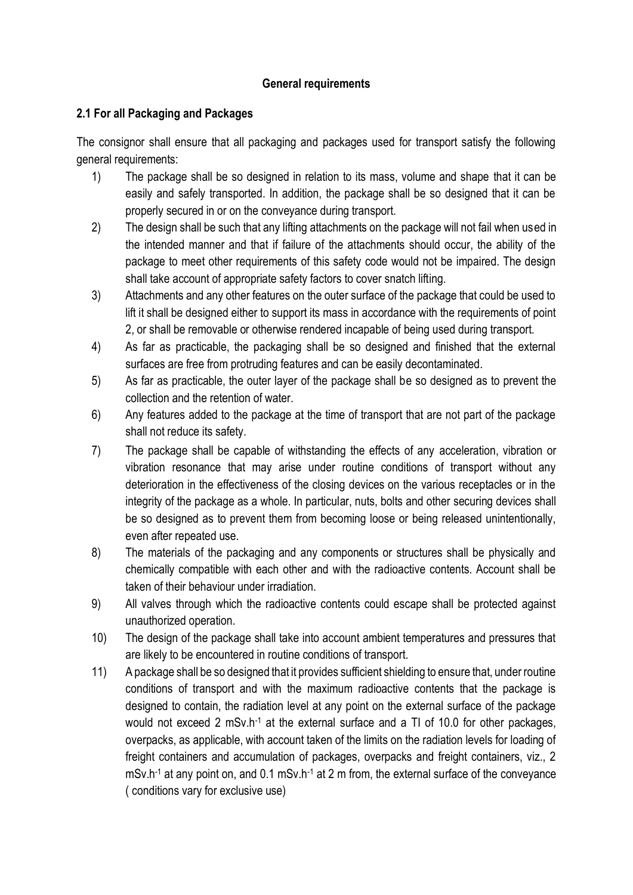## **General requirements**

## **2.1 For all Packaging and Packages**

The consignor shall ensure that all packaging and packages used for transport satisfy the following general requirements:

- 1) The package shall be so designed in relation to its mass, volume and shape that it can be easily and safely transported. In addition, the package shall be so designed that it can be properly secured in or on the conveyance during transport.
- 2) The design shall be such that any lifting attachments on the package will not fail when used in the intended manner and that if failure of the attachments should occur, the ability of the package to meet other requirements of this safety code would not be impaired. The design shall take account of appropriate safety factors to cover snatch lifting.
- 3) Attachments and any other features on the outer surface of the package that could be used to lift it shall be designed either to support its mass in accordance with the requirements of point 2, or shall be removable or otherwise rendered incapable of being used during transport.
- 4) As far as practicable, the packaging shall be so designed and finished that the external surfaces are free from protruding features and can be easily decontaminated.
- 5) As far as practicable, the outer layer of the package shall be so designed as to prevent the collection and the retention of water.
- 6) Any features added to the package at the time of transport that are not part of the package shall not reduce its safety.
- 7) The package shall be capable of withstanding the effects of any acceleration, vibration or vibration resonance that may arise under routine conditions of transport without any deterioration in the effectiveness of the closing devices on the various receptacles or in the integrity of the package as a whole. In particular, nuts, bolts and other securing devices shall be so designed as to prevent them from becoming loose or being released unintentionally, even after repeated use.
- 8) The materials of the packaging and any components or structures shall be physically and chemically compatible with each other and with the radioactive contents. Account shall be taken of their behaviour under irradiation.
- 9) All valves through which the radioactive contents could escape shall be protected against unauthorized operation.
- 10) The design of the package shall take into account ambient temperatures and pressures that are likely to be encountered in routine conditions of transport.
- 11) A package shall be so designed that it provides sufficient shielding to ensure that, under routine conditions of transport and with the maximum radioactive contents that the package is designed to contain, the radiation level at any point on the external surface of the package would not exceed 2 mSv.h<sup>-1</sup> at the external surface and a TI of 10.0 for other packages, overpacks, as applicable, with account taken of the limits on the radiation levels for loading of freight containers and accumulation of packages, overpacks and freight containers, viz., 2 mSv.h-1 at any point on, and 0.1 mSv.h-1 at 2 m from, the external surface of the conveyance ( conditions vary for exclusive use)